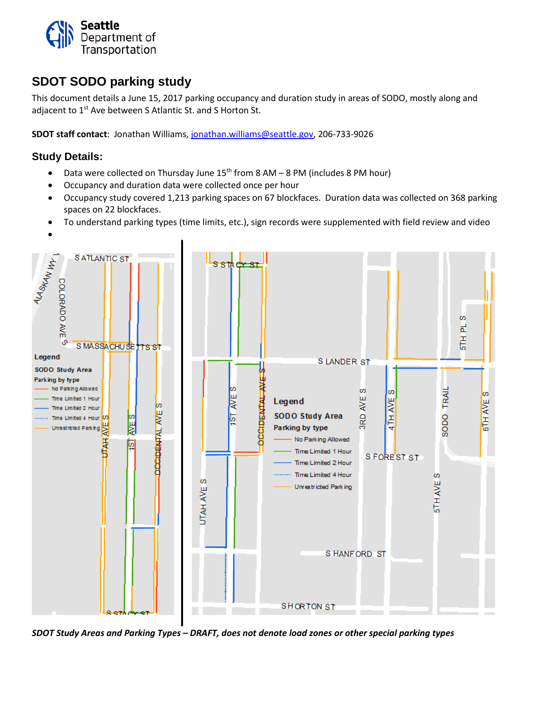

## **SDOT SODO parking study**

This document details a June 15, 2017 parking occupancy and duration study in areas of SODO, mostly along and adjacent to 1<sup>st</sup> Ave between S Atlantic St. and S Horton St.

**SDOT staff contact**: Jonathan Williams, [jonathan.williams@seattle.gov,](mailto:jonathan.williams@seattle.gov) 206-733-9026

#### **Study Details:**

- Data were collected on Thursday June  $15<sup>th</sup>$  from 8 AM 8 PM (includes 8 PM hour)
- Occupancy and duration data were collected once per hour
- Occupancy study covered 1,213 parking spaces on 67 blockfaces. Duration data was collected on 368 parking spaces on 22 blockfaces.
- To understand parking types (time limits, etc.), sign records were supplemented with field review and video



*SDOT Study Areas and Parking Types – DRAFT, does not denote load zones or other special parking types*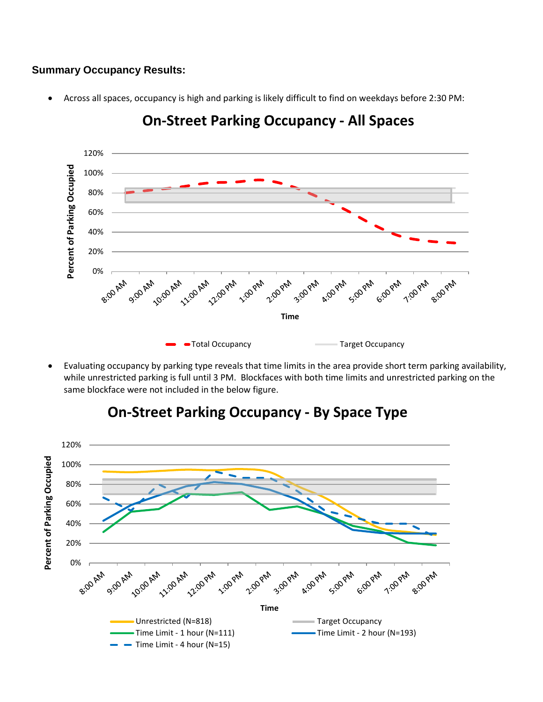### **Summary Occupancy Results:**

• Across all spaces, occupancy is high and parking is likely difficult to find on weekdays before 2:30 PM:



**On-Street Parking Occupancy - All Spaces**

• Evaluating occupancy by parking type reveals that time limits in the area provide short term parking availability, while unrestricted parking is full until 3 PM. Blockfaces with both time limits and unrestricted parking on the same blockface were not included in the below figure.



# **On-Street Parking Occupancy - By Space Type**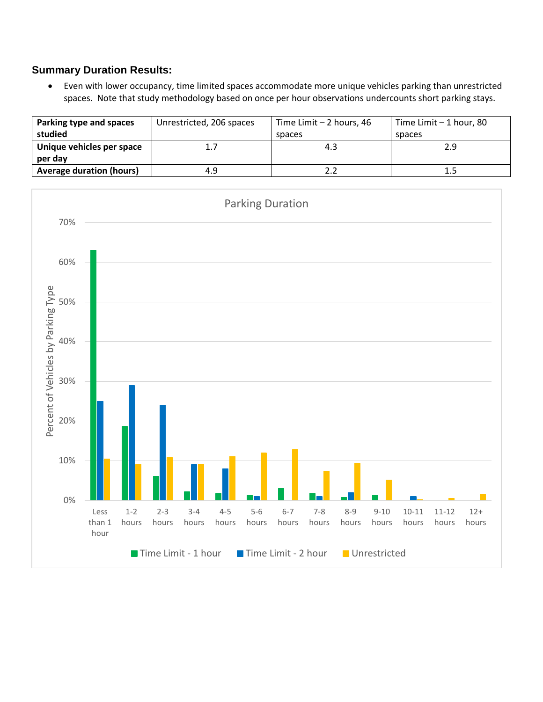### **Summary Duration Results:**

• Even with lower occupancy, time limited spaces accommodate more unique vehicles parking than unrestricted spaces. Note that study methodology based on once per hour observations undercounts short parking stays.

| Parking type and spaces<br>studied   | Unrestricted, 206 spaces | Time Limit $-2$ hours, 46<br>spaces | Time Limit $-1$ hour, 80<br>spaces |
|--------------------------------------|--------------------------|-------------------------------------|------------------------------------|
| Unique vehicles per space<br>per day | 1.7                      | 4.3                                 | 2.9                                |
| <b>Average duration (hours)</b>      | 4.9                      |                                     | 1.5                                |

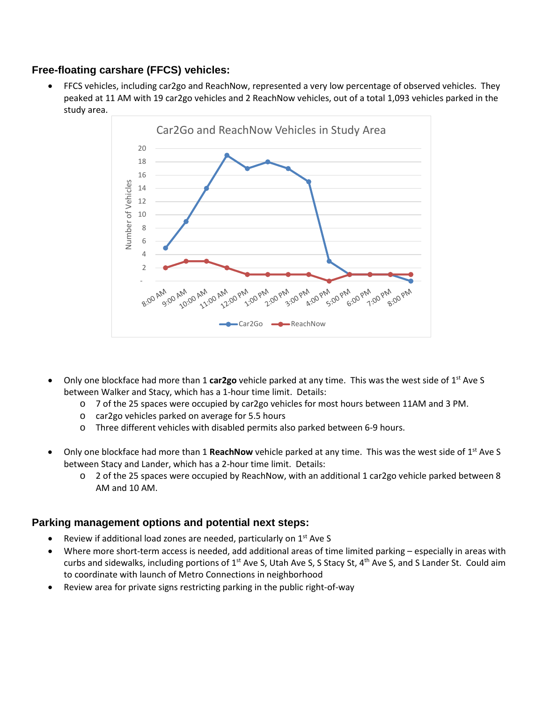### **Free-floating carshare (FFCS) vehicles:**

• FFCS vehicles, including car2go and ReachNow, represented a very low percentage of observed vehicles. They peaked at 11 AM with 19 car2go vehicles and 2 ReachNow vehicles, out of a total 1,093 vehicles parked in the study area.



- Only one blockface had more than 1 **car2go** vehicle parked at any time. This was the west side of 1st Ave S between Walker and Stacy, which has a 1-hour time limit. Details:
	- o 7 of the 25 spaces were occupied by car2go vehicles for most hours between 11AM and 3 PM.
	- o car2go vehicles parked on average for 5.5 hours
	- o Three different vehicles with disabled permits also parked between 6-9 hours.
- Only one blockface had more than 1 **ReachNow** vehicle parked at any time. This was the west side of 1<sup>st</sup> Ave S between Stacy and Lander, which has a 2-hour time limit. Details:
	- o 2 of the 25 spaces were occupied by ReachNow, with an additional 1 car2go vehicle parked between 8 AM and 10 AM.

### **Parking management options and potential next steps:**

- Review if additional load zones are needed, particularly on 1<sup>st</sup> Ave S
- Where more short-term access is needed, add additional areas of time limited parking especially in areas with curbs and sidewalks, including portions of 1<sup>st</sup> Ave S, Utah Ave S, S Stacy St, 4<sup>th</sup> Ave S, and S Lander St. Could aim to coordinate with launch of Metro Connections in neighborhood
- Review area for private signs restricting parking in the public right-of-way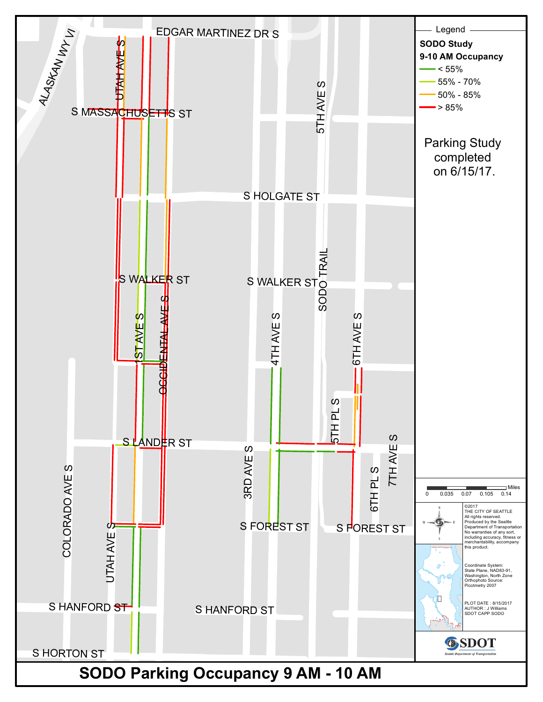